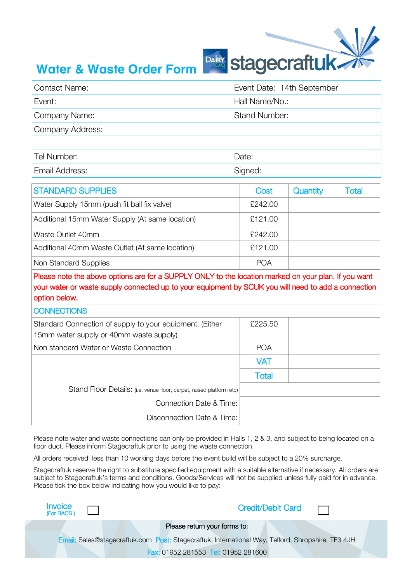

## **Water & Waste Order Form**

| <b>Contact Name:</b> | Event Date: 14th September |  |  |
|----------------------|----------------------------|--|--|
| Event:               | Hall Name/No.:             |  |  |
| Company Name:        | <b>Stand Number:</b>       |  |  |
| Company Address:     |                            |  |  |
|                      |                            |  |  |
| Tel Number:          | Date:                      |  |  |
| Email Address:       | Signed:                    |  |  |

| <b>STANDARD SUPPLIES</b>                        | Cost       | Quantity | Total |
|-------------------------------------------------|------------|----------|-------|
| Water Supply 15mm (push fit ball fix valve)     | £242.00    |          |       |
| Additional 15mm Water Supply (At same location) | £121.00    |          |       |
| Waste Outlet 40mm                               | £242.00    |          |       |
| Additional 40mm Waste Outlet (At same location) | £121.00    |          |       |
| Non Standard Supplies                           | <b>POA</b> |          |       |

Please note the above options are for a SUPPLY ONLY to the location marked on your plan. If you want your water or waste supply connected up to your equipment by SCUK you will need to add a connection option below.

## **CONNECTIONS**

| Standard Connection of supply to your equipment. (Either<br>15mm water supply or 40mm waste supply) | £225.50      |  |
|-----------------------------------------------------------------------------------------------------|--------------|--|
| Non standard Water or Waste Connection                                                              | <b>POA</b>   |  |
|                                                                                                     | <b>VAT</b>   |  |
|                                                                                                     | <b>Total</b> |  |
| Stand Floor Details: (i.e. venue floor, carpet, raised platform etc)                                |              |  |
| Connection Date & Time:                                                                             |              |  |
| Disconnection Date & Time:                                                                          |              |  |

Please note water and waste connections can only be provided in Halls 1, 2 & 3, and subject to being located on a floor duct. Please inform Stagecraftuk prior to using the waste connection.

All orders received less than 10 working days before the event build will be subject to a 20% surcharge.

Stagecraftuk reserve the right to substitute specified equipment with a suitable alternative if necessary. All orders are subject to Stagecraftuk's terms and conditions. Goods/Services will not be supplied unless fully paid for in advance. Please tick the box below indicating how you would like to pay:

| $\begin{array}{cc} \text{Invoice} \\ \text{[For BACS)} \end{array}$ | <b>Credit/Debit Card</b>                                                                          |  |
|---------------------------------------------------------------------|---------------------------------------------------------------------------------------------------|--|
|                                                                     | Please return your forms to:                                                                      |  |
|                                                                     | Email: Sales@stagecraftuk.com Post: Stagecraftuk, International Way, Telford, Shropshire, TF3 4JH |  |
|                                                                     | <b>Fax: 01952 281553 Tel: 01952 281600</b>                                                        |  |